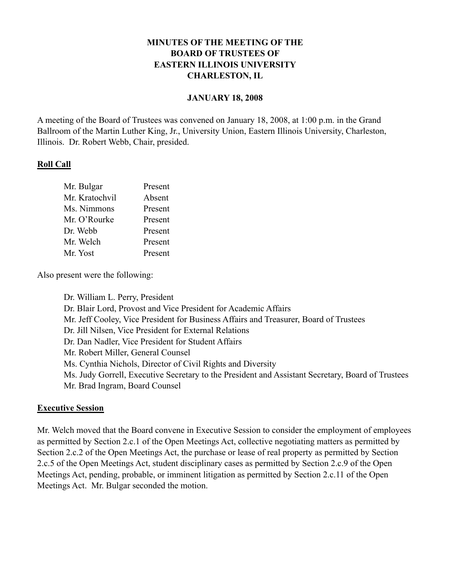## **MINUTES OF THE MEETING OF THE BOARD OF TRUSTEES OF EASTERN ILLINOIS UNIVERSITY CHARLESTON, IL**

### **JANUARY 18, 2008**

A meeting of the Board of Trustees was convened on January 18, 2008, at 1:00 p.m. in the Grand Ballroom of the Martin Luther King, Jr., University Union, Eastern Illinois University, Charleston, Illinois. Dr. Robert Webb, Chair, presided.

## **Roll Call**

| Mr. Bulgar     | Present |
|----------------|---------|
| Mr. Kratochvil | Absent  |
| Ms. Nimmons    | Present |
| Mr. O'Rourke   | Present |
| Dr. Webb       | Present |
| Mr. Welch      | Present |
| Mr. Yost       | Present |

Also present were the following:

Dr. William L. Perry, President Dr. Blair Lord, Provost and Vice President for Academic Affairs Mr. Jeff Cooley, Vice President for Business Affairs and Treasurer, Board of Trustees Dr. Jill Nilsen, Vice President for External Relations Dr. Dan Nadler, Vice President for Student Affairs Mr. Robert Miller, General Counsel Ms. Cynthia Nichols, Director of Civil Rights and Diversity Ms. Judy Gorrell, Executive Secretary to the President and Assistant Secretary, Board of Trustees Mr. Brad Ingram, Board Counsel

## **Executive Session**

Mr. Welch moved that the Board convene in Executive Session to consider the employment of employees as permitted by Section 2.c.1 of the Open Meetings Act, collective negotiating matters as permitted by Section 2.c.2 of the Open Meetings Act, the purchase or lease of real property as permitted by Section 2.c.5 of the Open Meetings Act, student disciplinary cases as permitted by Section 2.c.9 of the Open Meetings Act, pending, probable, or imminent litigation as permitted by Section 2.c.11 of the Open Meetings Act. Mr. Bulgar seconded the motion.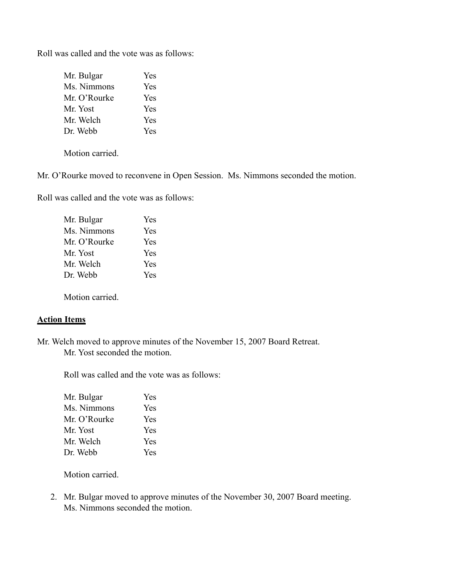Roll was called and the vote was as follows:

| Yes        |
|------------|
| Yes        |
| Yes        |
| Yes        |
| Yes        |
| <b>Yes</b> |
|            |

Motion carried.

Mr. O'Rourke moved to reconvene in Open Session. Ms. Nimmons seconded the motion.

Roll was called and the vote was as follows:

| Mr. Bulgar   | Yes        |
|--------------|------------|
| Ms. Nimmons  | <b>Yes</b> |
| Mr. O'Rourke | <b>Yes</b> |
| Mr. Yost     | <b>Yes</b> |
| Mr. Welch    | <b>Yes</b> |
| Dr. Webb     | <b>Yes</b> |
|              |            |

Motion carried.

### **Action Items**

Mr. Welch moved to approve minutes of the November 15, 2007 Board Retreat. Mr. Yost seconded the motion.

Roll was called and the vote was as follows:

| Mr. Bulgar   | Yes |
|--------------|-----|
| Ms. Nimmons  | Yes |
| Mr. O'Rourke | Yes |
| Mr. Yost     | Yes |
| Mr. Welch    | Yes |
| Dr. Webb     | Yes |

Motion carried.

2. Mr. Bulgar moved to approve minutes of the November 30, 2007 Board meeting. Ms. Nimmons seconded the motion.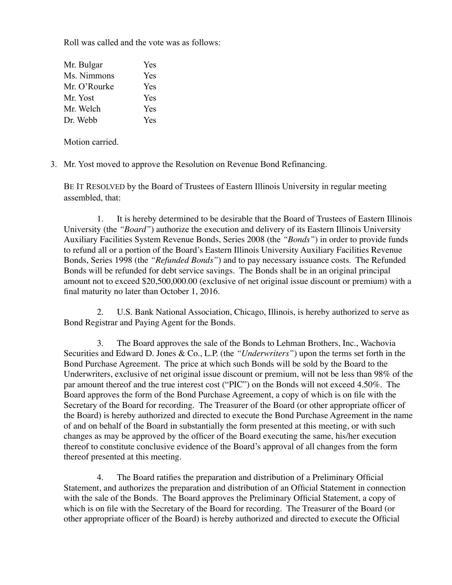Roll was called and the vote was as follows:

| Mr. Bulgar   | Yes |
|--------------|-----|
| Ms. Nimmons  | Yes |
| Mr. O'Rourke | Yes |
| Mr. Yost     | Yes |
| Mr. Welch    | Yes |
| Dr. Webb     | Yes |

Motion carried.

3. Mr. Yost moved to approve the Resolution on Revenue Bond Refinancing.

BE IT RESOLVED by the Board of Trustees of Eastern Illinois University in regular meeting assembled, that:

1. It is hereby determined to be desirable that the Board of Trustees of Eastern Illinois University (the *"Board"*) authorize the execution and delivery of its Eastern Illinois University Auxiliary Facilities System Revenue Bonds, Series 2008 (the *"Bonds"*) in order to provide funds to refund all or a portion of the Board's Eastern Illinois University Auxiliary Facilities Revenue Bonds, Series 1998 (the *"Refunded Bonds"*) and to pay necessary issuance costs. The Refunded Bonds will be refunded for debt service savings. The Bonds shall be in an original principal amount not to exceed \$20,500,000.00 (exclusive of net original issue discount or premium) with a final maturity no later than October 1, 2016.

2. U.S. Bank National Association, Chicago, Illinois, is hereby authorized to serve as Bond Registrar and Paying Agent for the Bonds.

3. The Board approves the sale of the Bonds to Lehman Brothers, Inc., Wachovia Securities and Edward D. Jones & Co., L.P. (the *"Underwriters"*) upon the terms set forth in the Bond Purchase Agreement. The price at which such Bonds will be sold by the Board to the Underwriters, exclusive of net original issue discount or premium, will not be less than 98% of the par amount thereof and the true interest cost ("PIC") on the Bonds will not exceed 4.50%. The Board approves the form of the Bond Purchase Agreement, a copy of which is on file with the Secretary of the Board for recording. The Treasurer of the Board (or other appropriate officer of the Board) is hereby authorized and directed to execute the Bond Purchase Agreement in the name of and on behalf of the Board in substantially the form presented at this meeting, or with such changes as may be approved by the officer of the Board executing the same, his/her execution thereof to constitute conclusive evidence of the Board's approval of all changes from the form thereof presented at this meeting.

4. The Board ratifies the preparation and distribution of a Preliminary Official Statement, and authorizes the preparation and distribution of an Official Statement in connection with the sale of the Bonds. The Board approves the Preliminary Official Statement, a copy of which is on file with the Secretary of the Board for recording. The Treasurer of the Board (or other appropriate officer of the Board) is hereby authorized and directed to execute the Official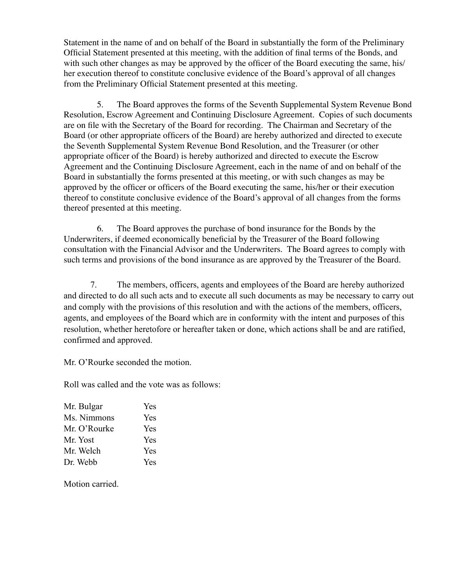Statement in the name of and on behalf of the Board in substantially the form of the Preliminary Official Statement presented at this meeting, with the addition of final terms of the Bonds, and with such other changes as may be approved by the officer of the Board executing the same, his/ her execution thereof to constitute conclusive evidence of the Board's approval of all changes from the Preliminary Official Statement presented at this meeting.

5. The Board approves the forms of the Seventh Supplemental System Revenue Bond Resolution, Escrow Agreement and Continuing Disclosure Agreement. Copies of such documents are on file with the Secretary of the Board for recording. The Chairman and Secretary of the Board (or other appropriate officers of the Board) are hereby authorized and directed to execute the Seventh Supplemental System Revenue Bond Resolution, and the Treasurer (or other appropriate officer of the Board) is hereby authorized and directed to execute the Escrow Agreement and the Continuing Disclosure Agreement, each in the name of and on behalf of the Board in substantially the forms presented at this meeting, or with such changes as may be approved by the officer or officers of the Board executing the same, his/her or their execution thereof to constitute conclusive evidence of the Board's approval of all changes from the forms thereof presented at this meeting.

6. The Board approves the purchase of bond insurance for the Bonds by the Underwriters, if deemed economically beneficial by the Treasurer of the Board following consultation with the Financial Advisor and the Underwriters. The Board agrees to comply with such terms and provisions of the bond insurance as are approved by the Treasurer of the Board.

7. The members, officers, agents and employees of the Board are hereby authorized and directed to do all such acts and to execute all such documents as may be necessary to carry out and comply with the provisions of this resolution and with the actions of the members, officers, agents, and employees of the Board which are in conformity with the intent and purposes of this resolution, whether heretofore or hereafter taken or done, which actions shall be and are ratified, confirmed and approved.

Mr. O'Rourke seconded the motion.

Roll was called and the vote was as follows:

| <b>Yes</b> |
|------------|
| <b>Yes</b> |
| <b>Yes</b> |
| <b>Yes</b> |
| <b>Yes</b> |
| <b>Yes</b> |
|            |

Motion carried.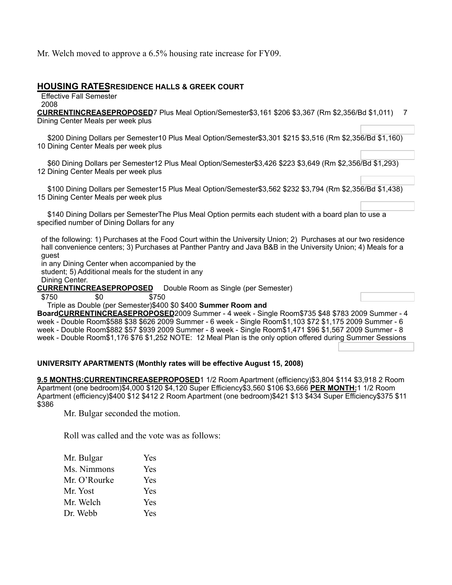Mr. Welch moved to approve a 6.5% housing rate increase for FY09.

#### **HOUSING RATESRESIDENCE HALLS & GREEK COURT**

Effective Fall Semester 2008

**CURRENTINCREASEPROPOSED**7 Plus Meal Option/Semester\$3,161 \$206 \$3,367 (Rm \$2,356/Bd \$1,011) 7 Dining Center Meals per week plus

 \$200 Dining Dollars per Semester10 Plus Meal Option/Semester\$3,301 \$215 \$3,516 (Rm \$2,356/Bd \$1,160) 10 Dining Center Meals per week plus

 \$60 Dining Dollars per Semester12 Plus Meal Option/Semester\$3,426 \$223 \$3,649 (Rm \$2,356/Bd \$1,293) 12 Dining Center Meals per week plus

 \$100 Dining Dollars per Semester15 Plus Meal Option/Semester\$3,562 \$232 \$3,794 (Rm \$2,356/Bd \$1,438) 15 Dining Center Meals per week plus

 \$140 Dining Dollars per SemesterThe Plus Meal Option permits each student with a board plan to use a specified number of Dining Dollars for any

of the following: 1) Purchases at the Food Court within the University Union; 2) Purchases at our two residence hall convenience centers; 3) Purchases at Panther Pantry and Java B&B in the University Union; 4) Meals for a guest

in any Dining Center when accompanied by the

student; 5) Additional meals for the student in any

Dining Center.

**CURRENTINCREASEPROPOSED** Double Room as Single (per Semester)

\$750 \$0 \$750

#### Triple as Double (per Semester)\$400 \$0 \$400 **Summer Room and**

**BoardCURRENTINCREASEPROPOSED**2009 Summer - 4 week - Single Room\$735 \$48 \$783 2009 Summer - 4 week - Double Room\$588 \$38 \$626 2009 Summer - 6 week - Single Room\$1,103 \$72 \$1,175 2009 Summer - 6 week - Double Room\$882 \$57 \$939 2009 Summer - 8 week - Single Room\$1,471 \$96 \$1,567 2009 Summer - 8 week - Double Room\$1,176 \$76 \$1,252 NOTE: 12 Meal Plan is the only option offered during Summer Sessions

#### **UNIVERSITY APARTMENTS (Monthly rates will be effective August 15, 2008)**

**9.5 MONTHS:CURRENTINCREASEPROPOSED**1 1/2 Room Apartment (efficiency)\$3,804 \$114 \$3,918 2 Room Apartment (one bedroom)\$4,000 \$120 \$4,120 Super Efficiency\$3,560 \$106 \$3,666 **PER MONTH:**1 1/2 Room Apartment (efficiency)\$400 \$12 \$412 2 Room Apartment (one bedroom)\$421 \$13 \$434 Super Efficiency\$375 \$11 \$386

Mr. Bulgar seconded the motion.

Roll was called and the vote was as follows:

| Mr. Bulgar   | Yes |
|--------------|-----|
| Ms. Nimmons  | Yes |
| Mr. O'Rourke | Yes |
| Mr. Yost     | Yes |
| Mr. Welch    | Yes |
| Dr. Webb     | Yes |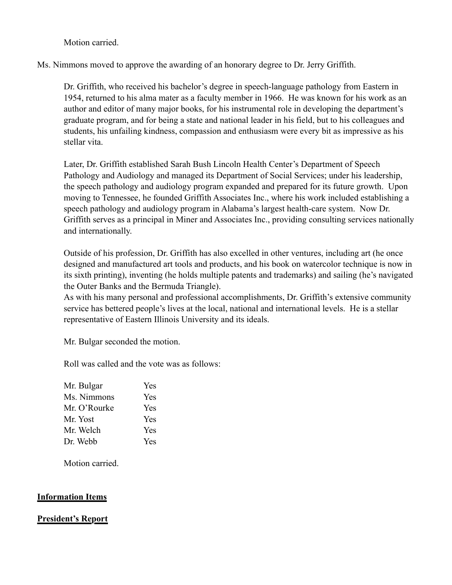Motion carried.

Ms. Nimmons moved to approve the awarding of an honorary degree to Dr. Jerry Griffith.

Dr. Griffith, who received his bachelor's degree in speech-language pathology from Eastern in 1954, returned to his alma mater as a faculty member in 1966. He was known for his work as an author and editor of many major books, for his instrumental role in developing the department's graduate program, and for being a state and national leader in his field, but to his colleagues and students, his unfailing kindness, compassion and enthusiasm were every bit as impressive as his stellar vita.

Later, Dr. Griffith established Sarah Bush Lincoln Health Center's Department of Speech Pathology and Audiology and managed its Department of Social Services; under his leadership, the speech pathology and audiology program expanded and prepared for its future growth. Upon moving to Tennessee, he founded Griffith Associates Inc., where his work included establishing a speech pathology and audiology program in Alabama's largest health-care system. Now Dr. Griffith serves as a principal in Miner and Associates Inc., providing consulting services nationally and internationally.

Outside of his profession, Dr. Griffith has also excelled in other ventures, including art (he once designed and manufactured art tools and products, and his book on watercolor technique is now in its sixth printing), inventing (he holds multiple patents and trademarks) and sailing (he's navigated the Outer Banks and the Bermuda Triangle).

As with his many personal and professional accomplishments, Dr. Griffith's extensive community service has bettered people's lives at the local, national and international levels. He is a stellar representative of Eastern Illinois University and its ideals.

Mr. Bulgar seconded the motion.

Roll was called and the vote was as follows:

| Mr. Bulgar   | <b>Yes</b> |
|--------------|------------|
| Ms. Nimmons  | <b>Yes</b> |
| Mr. O'Rourke | <b>Yes</b> |
| Mr. Yost     | <b>Yes</b> |
| Mr. Welch    | <b>Yes</b> |
| Dr. Webb     | <b>Yes</b> |

Motion carried.

### **Information Items**

### **President's Report**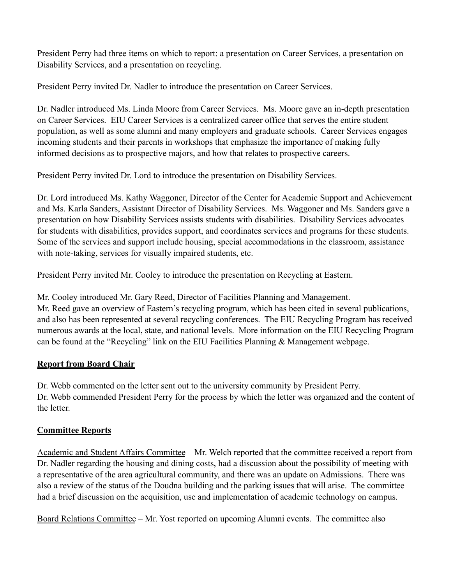President Perry had three items on which to report: a presentation on Career Services, a presentation on Disability Services, and a presentation on recycling.

President Perry invited Dr. Nadler to introduce the presentation on Career Services.

Dr. Nadler introduced Ms. Linda Moore from Career Services. Ms. Moore gave an in-depth presentation on Career Services. EIU Career Services is a centralized career office that serves the entire student population, as well as some alumni and many employers and graduate schools. Career Services engages incoming students and their parents in workshops that emphasize the importance of making fully informed decisions as to prospective majors, and how that relates to prospective careers.

President Perry invited Dr. Lord to introduce the presentation on Disability Services.

Dr. Lord introduced Ms. Kathy Waggoner, Director of the Center for Academic Support and Achievement and Ms. Karla Sanders, Assistant Director of Disability Services. Ms. Waggoner and Ms. Sanders gave a presentation on how Disability Services assists students with disabilities. Disability Services advocates for students with disabilities, provides support, and coordinates services and programs for these students. Some of the services and support include housing, special accommodations in the classroom, assistance with note-taking, services for visually impaired students, etc.

President Perry invited Mr. Cooley to introduce the presentation on Recycling at Eastern.

Mr. Cooley introduced Mr. Gary Reed, Director of Facilities Planning and Management. Mr. Reed gave an overview of Eastern's recycling program, which has been cited in several publications, and also has been represented at several recycling conferences. The EIU Recycling Program has received numerous awards at the local, state, and national levels. More information on the EIU Recycling Program can be found at the "Recycling" link on the EIU Facilities Planning & Management webpage.

# **Report from Board Chair**

Dr. Webb commented on the letter sent out to the university community by President Perry. Dr. Webb commended President Perry for the process by which the letter was organized and the content of the letter.

# **Committee Reports**

Academic and Student Affairs Committee – Mr. Welch reported that the committee received a report from Dr. Nadler regarding the housing and dining costs, had a discussion about the possibility of meeting with a representative of the area agricultural community, and there was an update on Admissions. There was also a review of the status of the Doudna building and the parking issues that will arise. The committee had a brief discussion on the acquisition, use and implementation of academic technology on campus.

Board Relations Committee – Mr. Yost reported on upcoming Alumni events. The committee also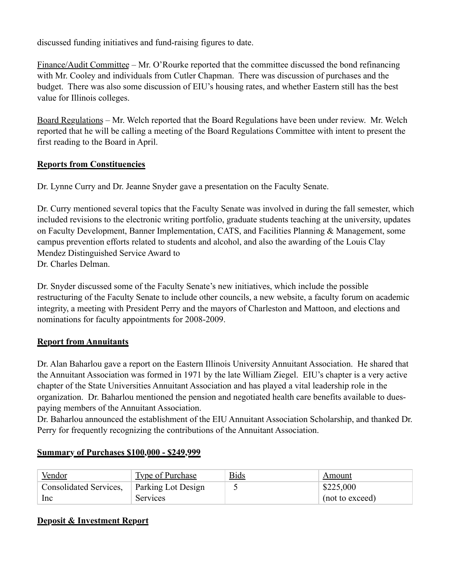discussed funding initiatives and fund-raising figures to date.

Finance/Audit Committee – Mr. O'Rourke reported that the committee discussed the bond refinancing with Mr. Cooley and individuals from Cutler Chapman. There was discussion of purchases and the budget. There was also some discussion of EIU's housing rates, and whether Eastern still has the best value for Illinois colleges.

Board Regulations – Mr. Welch reported that the Board Regulations have been under review. Mr. Welch reported that he will be calling a meeting of the Board Regulations Committee with intent to present the first reading to the Board in April.

## **Reports from Constituencies**

Dr. Lynne Curry and Dr. Jeanne Snyder gave a presentation on the Faculty Senate.

Dr. Curry mentioned several topics that the Faculty Senate was involved in during the fall semester, which included revisions to the electronic writing portfolio, graduate students teaching at the university, updates on Faculty Development, Banner Implementation, CATS, and Facilities Planning & Management, some campus prevention efforts related to students and alcohol, and also the awarding of the Louis Clay Mendez Distinguished Service Award to Dr. Charles Delman.

Dr. Snyder discussed some of the Faculty Senate's new initiatives, which include the possible restructuring of the Faculty Senate to include other councils, a new website, a faculty forum on academic integrity, a meeting with President Perry and the mayors of Charleston and Mattoon, and elections and nominations for faculty appointments for 2008-2009.

## **Report from Annuitants**

Dr. Alan Baharlou gave a report on the Eastern Illinois University Annuitant Association. He shared that the Annuitant Association was formed in 1971 by the late William Ziegel. EIU's chapter is a very active chapter of the State Universities Annuitant Association and has played a vital leadership role in the organization. Dr. Baharlou mentioned the pension and negotiated health care benefits available to duespaying members of the Annuitant Association.

Dr. Baharlou announced the establishment of the EIU Annuitant Association Scholarship, and thanked Dr. Perry for frequently recognizing the contributions of the Annuitant Association.

## **Summary of Purchases \$100,000 - \$249,999**

| Vendor                 | Type of Purchase   | <u>Bids</u> | Amount          |
|------------------------|--------------------|-------------|-----------------|
| Consolidated Services, | Parking Lot Design |             | \$225,000       |
| <sub>1</sub> Inc       | <b>Services</b>    |             | (not to exceed) |

## **Deposit & Investment Report**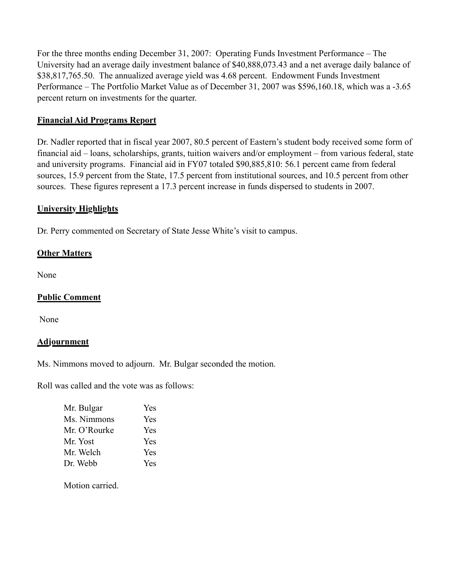For the three months ending December 31, 2007: Operating Funds Investment Performance – The University had an average daily investment balance of \$40,888,073.43 and a net average daily balance of \$38,817,765.50. The annualized average yield was 4.68 percent. Endowment Funds Investment Performance – The Portfolio Market Value as of December 31, 2007 was \$596,160.18, which was a -3.65 percent return on investments for the quarter.

## **Financial Aid Programs Report**

Dr. Nadler reported that in fiscal year 2007, 80.5 percent of Eastern's student body received some form of financial aid – loans, scholarships, grants, tuition waivers and/or employment – from various federal, state and university programs. Financial aid in FY07 totaled \$90,885,810: 56.1 percent came from federal sources, 15.9 percent from the State, 17.5 percent from institutional sources, and 10.5 percent from other sources. These figures represent a 17.3 percent increase in funds dispersed to students in 2007.

## **University Highlights**

Dr. Perry commented on Secretary of State Jesse White's visit to campus.

## **Other Matters**

None

## **Public Comment**

None

## **Adjournment**

Ms. Nimmons moved to adjourn. Mr. Bulgar seconded the motion.

Roll was called and the vote was as follows:

| Mr. Bulgar   | <b>Yes</b> |
|--------------|------------|
| Ms. Nimmons  | <b>Yes</b> |
| Mr. O'Rourke | <b>Yes</b> |
| Mr. Yost     | Yes        |
| Mr. Welch    | <b>Yes</b> |
| Dr. Webb     | Yes        |

Motion carried.